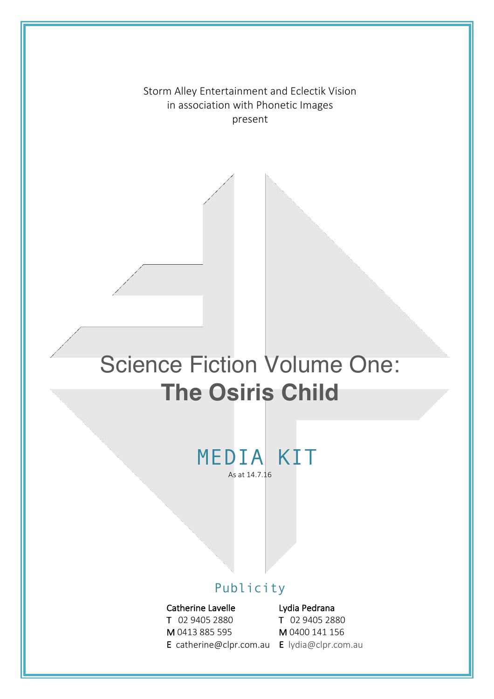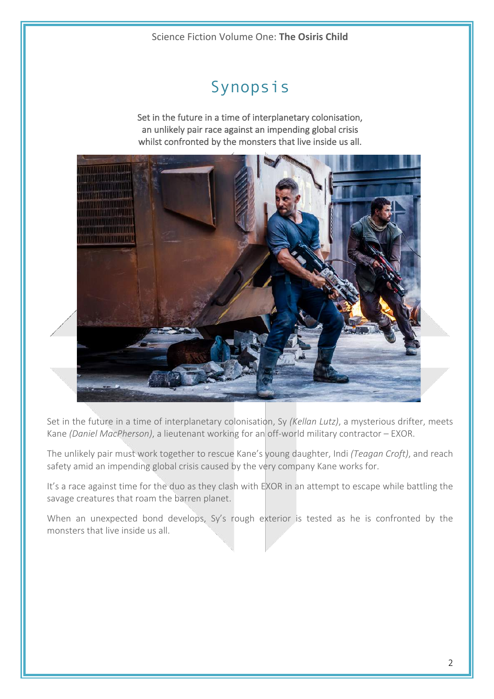# Synopsis

Set in the future in a time of interplanetary colonisation, an unlikely pair race against an impending global crisis whilst confronted by the monsters that live inside us all.



Set in the future in a time of interplanetary colonisation, Sy *(Kellan Lutz)*, a mysterious drifter, meets Kane *(Daniel MacPherson)*, a lieutenant working for an off-world military contractor – EXOR.

The unlikely pair must work together to rescue Kane's young daughter, Indi *(Teagan Croft)*, and reach safety amid an impending global crisis caused by the very company Kane works for.

It's a race against time for the duo as they clash with EXOR in an attempt to escape while battling the savage creatures that roam the barren planet.

When an unexpected bond develops, Sy's rough exterior is tested as he is confronted by the monsters that live inside us all.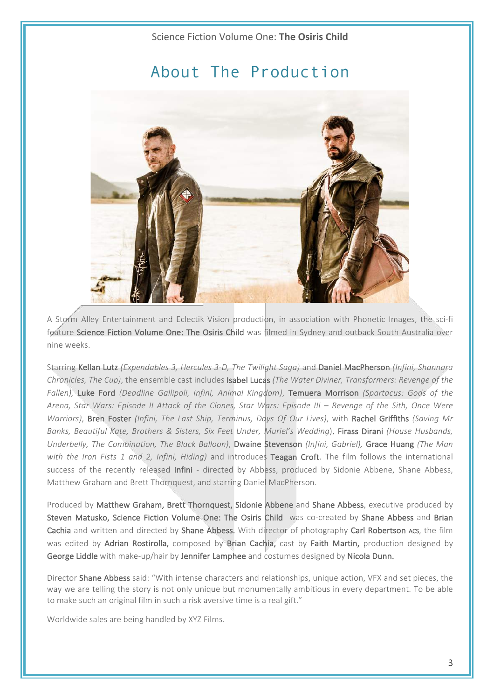# About The Production



A Storm Alley Entertainment and Eclectik Vision production, in association with Phonetic Images, the sci-fi feature Science Fiction Volume One: The Osiris Child was filmed in Sydney and outback South Australia over nine weeks.

Starring Kellan Lutz *(Expendables 3, Hercules 3-D, The Twilight Saga)* and Daniel MacPherson *(Infini, Shannara Chronicles, The Cup)*, the ensemble cast includes **Isabel Lucas** *(The Water Diviner, Transformers: Revenge of the* Fallen), Luke Ford *(Deadline Gallipoli, Infini, Animal Kingdom)*, Temuera Morrison *(Spartacus: Gods of the* Arena, Star Wars: Episode II Attack of the Clones, Star Wars: Episode III – Revenge of the Sith, Once Were *Warriors)*, Bren Foster *(Infini, The Last Ship, Terminus, Days Of Our Lives)*, with Rachel Griffiths *(Saving Mr* Banks, Beautiful Kate, Brothers & Sisters, Six Feet Under, Muriel's Wedding), Firass Dirani *(House Husbands, Underbelly, The Combination, The Black Balloon)*, Dwaine Stevenson *(Infini, Gabriel)*, Grace Huang *(The Man* with the Iron Fists 1 and 2, Infini, Hiding) and introduces Teagan Croft. The film follows the international success of the recently released Infini - directed by Abbess, produced by Sidonie Abbene, Shane Abbess, Matthew Graham and Brett Thornquest, and starring Daniel MacPherson.

Produced by Matthew Graham, Brett Thornquest, Sidonie Abbene and Shane Abbess, executive produced by Steven Matusko, Science Fiction Volume One: The Osiris Child was co-created by Shane Abbess and Brian Cachia and written and directed by Shane Abbess. With director of photography Carl Robertson Acs, the film was edited by Adrian Rostirolla, composed by Brian Cachia, cast by Faith Martin, production designed by George Liddle with make-up/hair by Jennifer Lamphee and costumes designed by Nicola Dunn.

Director Shane Abbess said: "With intense characters and relationships, unique action, VFX and set pieces, the way we are telling the story is not only unique but monumentally ambitious in every department. To be able to make such an original film in such a risk aversive time is a real gift."

Worldwide sales are being handled by XYZ Films.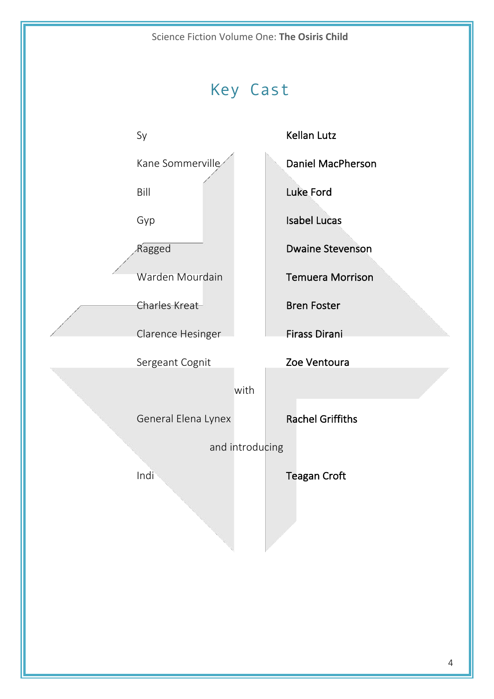

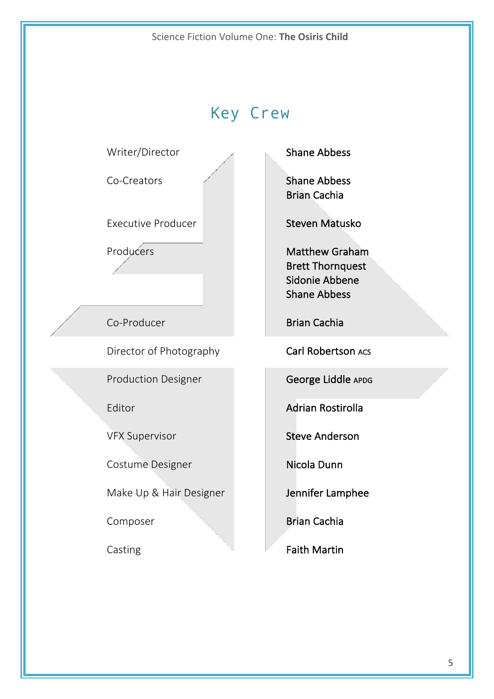# Key Crew

### Writer/Director Shane Abbess

Executive Producer **Steven Matusko** 

Director of Photography Carl Robertson Acs

Production Designer **George Liddle** APDG

 

 $\mathbb{R}^n$ 

 

e de la construcción de la construcción de la construcción de la construcción de la construcción de la construcción<br>La construcción de la construcción de la construcción de la construcción de la construcción de la construc

Costume Designer Nicola Dunn

Make Up & Hair Designer **Jennifer Lamphee** 

Co-Creators **Shane Abbess**  Brian Cachia 

Producers **Matthew Graham Brett Thornquest** Sidonie Abbene Shane Abbess

Co-Producer **Brian Cachia** 

Editor **Adrian Rostirolla** 

VFX Supervisor Steve Anderson

Composer **Brian Cachia** 

Casting **Faith Martin** 

5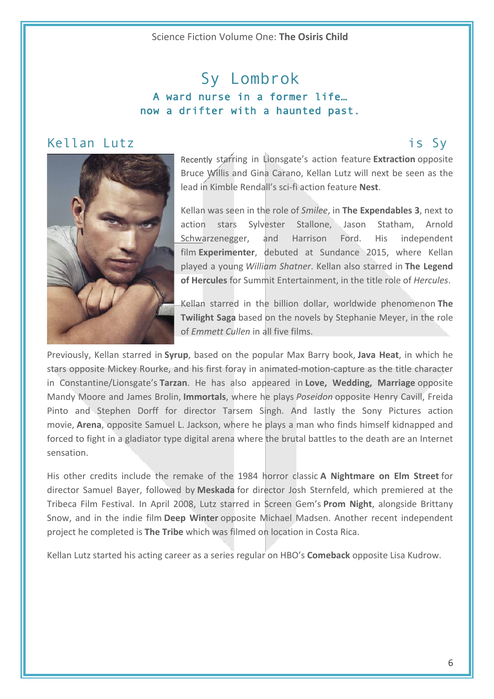# Sy Lombrok A ward nurse in a former life… now a drifter with a haunted past.

### Kellan Lutz is Sy



Recently starring in Lionsgate's action feature **Extraction** opposite Bruce Willis and Gina Carano, Kellan Lutz will next be seen as the lead in Kimble Rendall's sci-fi action feature **Nest**.

Kellan was seen in the role of *Smilee*, in **The Expendables 3**, next to action stars Sylvester Stallone, Jason Statham, Arnold Schwarzenegger, and Harrison Ford. His independent film Experimenter, debuted at Sundance 2015, where Kellan played a young *William Shatner*. Kellan also starred in The Legend **of Hercules** for Summit Entertainment, in the title role of *Hercules*.

Kellan starred in the billion dollar, worldwide phenomenon The **Twilight Saga** based on the novels by Stephanie Meyer, in the role of *Emmett Cullen* in all five films.

Previously, Kellan starred in **Syrup**, based on the popular Max Barry book, Java Heat, in which he stars opposite Mickey Rourke, and his first foray in animated-motion-capture as the title character in Constantine/Lionsgate's Tarzan. He has also appeared in Love, Wedding, Marriage opposite Mandy Moore and James Brolin, **Immortals**, where he plays *Poseidon* opposite Henry Cavill, Freida Pinto and Stephen Dorff for director Tarsem Singh. And lastly the Sony Pictures action movie, **Arena**, opposite Samuel L. Jackson, where he plays a man who finds himself kidnapped and forced to fight in a gladiator type digital arena where the brutal battles to the death are an Internet sensation.

His other credits include the remake of the 1984 horror classic **A Nightmare on Elm Street** for director Samuel Bayer, followed by **Meskada** for director Josh Sternfeld, which premiered at the Tribeca Film Festival. In April 2008, Lutz starred in Screen Gem's **Prom Night**, alongside Brittany Snow, and in the indie film **Deep Winter** opposite Michael Madsen. Another recent independent project he completed is **The Tribe** which was filmed on location in Costa Rica.

Kellan Lutz started his acting career as a series regular on HBO's **Comeback** opposite Lisa Kudrow.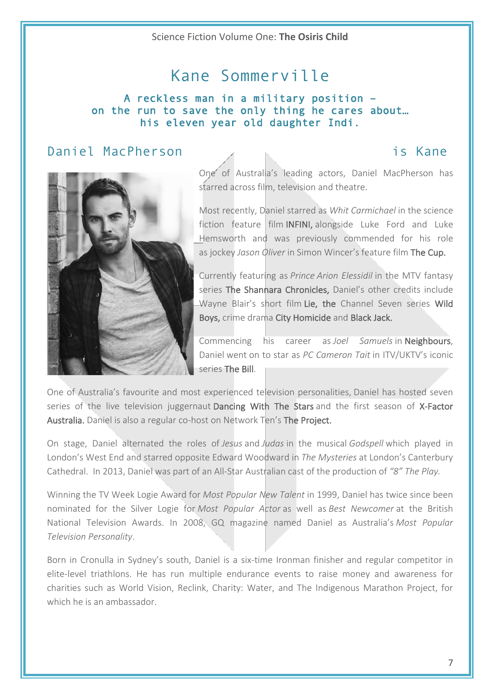# Kane Sommerville

### A reckless man in a military position – on the run to save the only thing he cares about… his eleven year old daughter Indi.

## Daniel MacPherson is Kane



One of Australia's leading actors, Daniel MacPherson has starred across film, television and theatre.

Most recently, Daniel starred as *Whit Carmichael* in the science fiction feature film INFINI, alongside Luke Ford and Luke Hemsworth and was previously commended for his role as jockey *Jason Oliver* in Simon Wincer's feature film The Cup.

Currently featuring as *Prince Arion Elessidil* in the MTV fantasy series The Shannara Chronicles, Daniel's other credits include Wayne Blair's short film Lie, the Channel Seven series Wild Boys, crime drama City Homicide and Black Jack.

Commencing his career as *Joel Samuels* in Neighbours, Daniel went on to star as *PC Cameron Tait* in ITV/UKTV's iconic series The Bill.

One of Australia's favourite and most experienced television personalities, Daniel has hosted seven series of the live television juggernaut Dancing With The Stars and the first season of X-Factor Australia. Daniel is also a regular co-host on Network Ten's The Project.

On stage, Daniel alternated the roles of *Jesus* and *Judas* in the musical *Godspell* which played in London's West End and starred opposite Edward Woodward in *The Mysteries* at London's Canterbury Cathedral. In 2013, Daniel was part of an All-Star Australian cast of the production of "8" The Play.

Winning the TV Week Logie Award for *Most Popular New Talent* in 1999, Daniel has twice since been nominated for the Silver Logie for *Most Popular Actor* as well as *Best Newcomer* at the British National Television Awards. In 2008, GQ magazine named Daniel as Australia's Most Popular *Television Personality*.

Born in Cronulla in Sydney's south, Daniel is a six-time Ironman finisher and regular competitor in elite-level triathlons. He has run multiple endurance events to raise money and awareness for charities such as World Vision, Reclink, Charity: Water, and The Indigenous Marathon Project, for which he is an ambassador.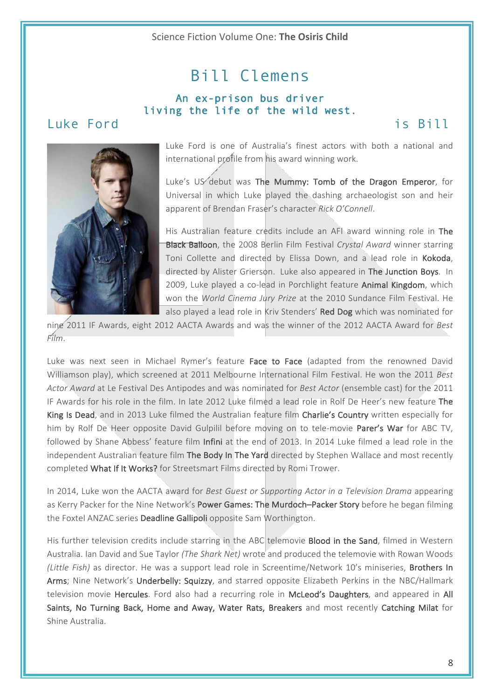# Bill Clemens

### An ex-prison bus driver living the life of the wild west.

## Luke Ford is Bill



Luke Ford is one of Australia's finest actors with both a national and international profile from his award winning work.

Luke's US debut was The Mummy: Tomb of the Dragon Emperor, for Universal in which Luke played the dashing archaeologist son and heir apparent of Brendan Fraser's character *Rick O'Connell*.

His Australian feature credits include an AFI award winning role in The **Black Balloon**, the 2008 Berlin Film Festival *Crystal Award* winner starring Toni Collette and directed by Elissa Down, and a lead role in Kokoda, directed by Alister Grierson. Luke also appeared in The Junction Boys. In 2009, Luke played a co-lead in Porchlight feature Animal Kingdom, which won the *World Cinema Jury Prize* at the 2010 Sundance Film Festival. He also played a lead role in Kriv Stenders' Red Dog which was nominated for

nine 2011 IF Awards, eight 2012 AACTA Awards and was the winner of the 2012 AACTA Award for *Best Film*.

Luke was next seen in Michael Rymer's feature Face to Face (adapted from the renowned David Williamson play), which screened at 2011 Melbourne International Film Festival. He won the 2011 *Best* Actor Award at Le Festival Des Antipodes and was nominated for *Best Actor* (ensemble cast) for the 2011 IF Awards for his role in the film. In late 2012 Luke filmed a lead role in Rolf De Heer's new feature The King Is Dead, and in 2013 Luke filmed the Australian feature film Charlie's Country written especially for him by Rolf De Heer opposite David Gulpilil before moving on to tele-movie Parer's War for ABC TV, followed by Shane Abbess' feature film Infini at the end of 2013. In 2014 Luke filmed a lead role in the independent Australian feature film The Body In The Yard directed by Stephen Wallace and most recently completed What If It Works? for Streetsmart Films directed by Romi Trower.

In 2014, Luke won the AACTA award for *Best Guest or Supporting Actor in a Television Drama* appearing as Kerry Packer for the Nine Network's Power Games: The Murdoch–Packer Story before he began filming the Foxtel ANZAC series Deadline Gallipoli opposite Sam Worthington.

His further television credits include starring in the ABC telemovie Blood in the Sand, filmed in Western Australia. Ian David and Sue Taylor *(The Shark Net)* wrote and produced the telemovie with Rowan Woods *(Little Fish)* as director. He was a support lead role in Screentime/Network 10's miniseries, Brothers In Arms; Nine Network's Underbelly: Squizzy, and starred opposite Elizabeth Perkins in the NBC/Hallmark television movie Hercules. Ford also had a recurring role in McLeod's Daughters, and appeared in All Saints, No Turning Back, Home and Away, Water Rats, Breakers and most recently Catching Milat for Shine Australia.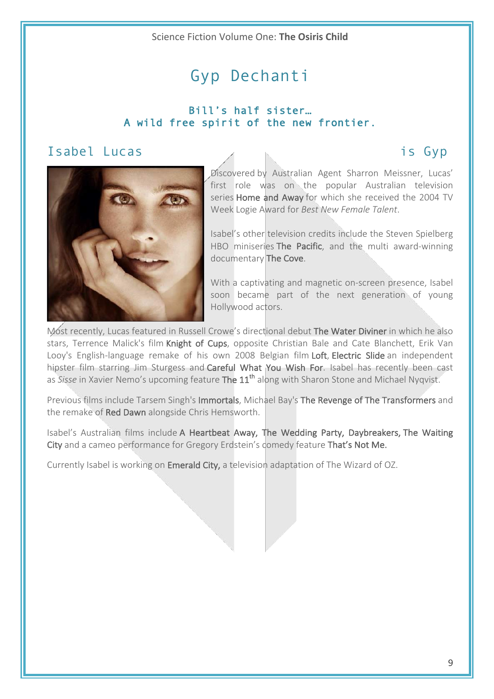# Gyp Dechanti

### Bill's half sister… A wild free spirit of the new frontier.

## Isabel Lucas is Gyp



Discovered by Australian Agent Sharron Meissner, Lucas' first role was on the popular Australian television series **Home and Away** for which she received the 2004 TV Week Logie Award for *Best New Female Talent*.

Isabel's other television credits include the Steven Spielberg HBO miniseries The Pacific, and the multi award-winning documentary The Cove.

With a captivating and magnetic on-screen presence, Isabel soon became part of the next generation of young Hollywood actors.

Most recently, Lucas featured in Russell Crowe's directional debut The Water Diviner in which he also stars, Terrence Malick's film Knight of Cups, opposite Christian Bale and Cate Blanchett, Erik Van Looy's English-language remake of his own 2008 Belgian film Loft, Electric Slide an independent hipster film starring Jim Sturgess and Careful What You Wish For. Isabel has recently been cast as *Sisse* in Xavier Nemo's upcoming feature **The 11<sup>th</sup> along with Sharon Stone and Michael Nygyist.** 

Previous films include Tarsem Singh's Immortals, Michael Bay's The Revenge of The Transformers and the remake of Red Dawn alongside Chris Hemsworth.

Isabel's Australian films include A Heartbeat Away, The Wedding Party, Daybreakers, The Waiting City and a cameo performance for Gregory Erdstein's domedy feature That's Not Me.

Currently Isabel is working on **Emerald City**, a television adaptation of The Wizard of OZ.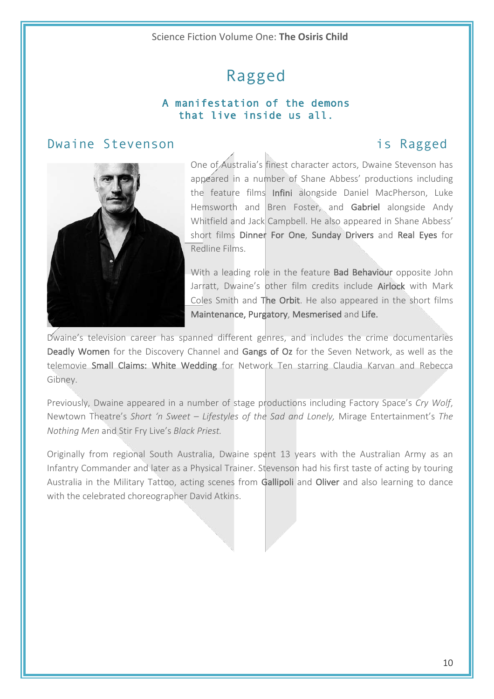# Ragged

### A manifestation of the demons that live inside us all.

### Dwaine Stevenson is Ragged



One of Australia's finest character actors, Dwaine Stevenson has appeared in a number of Shane Abbess' productions including the feature films Infini alongside Daniel MacPherson, Luke Hemsworth and Bren Foster, and Gabriel alongside Andy Whitfield and Jack Campbell. He also appeared in Shane Abbess' short films Dinner For One, Sunday Drivers and Real Eyes for Redline Films.

With a leading role in the feature **Bad Behaviour** opposite John Jarratt, Dwaine's other film credits include Airlock with Mark Coles Smith and The Orbit. He also appeared in the short films Maintenance, Purgatory, Mesmerised and Life.

Dwaine's television career has spanned different genres, and includes the crime documentaries Deadly Women for the Discovery Channel and Gangs of Oz for the Seven Network, as well as the telemovie Small Claims: White Wedding for Network Ten starring Claudia Karvan and Rebecca Gibney. 

Previously, Dwaine appeared in a number of stage productions including Factory Space's Cry Wolf, Newtown Theatre's Short 'n Sweet - Lifestyles of the Sad and Lonely, Mirage Entertainment's The *Nothing Men* and Stir Fry Live's *Black Priest.* 

Originally from regional South Australia, Dwaine spent 13 years with the Australian Army as an Infantry Commander and later as a Physical Trainer. Stevenson had his first taste of acting by touring Australia in the Military Tattoo, acting scenes from Gallipoli and Oliver and also learning to dance with the celebrated choreographer David Atkins.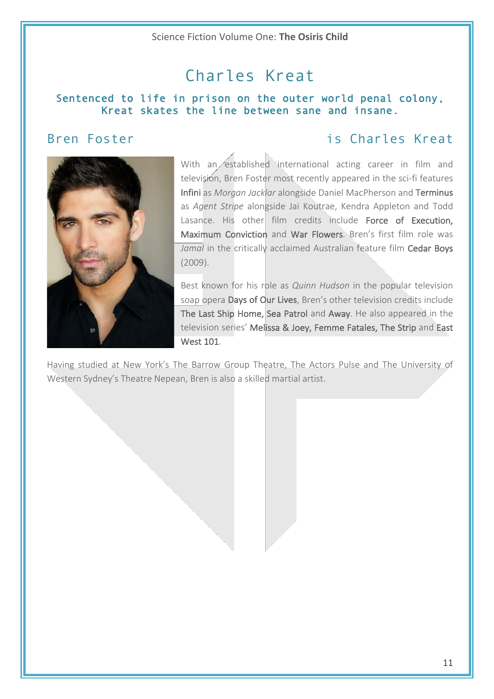# Charles Kreat

### Sentenced to life in prison on the outer world penal colony, Kreat skates the line between sane and insane.

## Bren Foster is Charles Kreat



With an established international acting career in film and television, Bren Foster most recently appeared in the sci-fi features Infini as *Morgan Jacklar* alongside Daniel MacPherson and Terminus as *Agent Stripe* alongside Jai Koutrae, Kendra Appleton and Todd Lasance. His other film credits include Force of Execution, Maximum Conviction and War Flowers. Bren's first film role was *Jamal* in the critically acclaimed Australian feature film Cedar Boys (2009).

Best known for his role as *Quinn Hudson* in the popular television soap opera Days of Our Lives, Bren's other television credits include The Last Ship Home, Sea Patrol and Away. He also appeared in the television series' Melissa & Joey, Femme Fatales, The Strip and East West 101.

Having studied at New York's The Barrow Group Theatre, The Actors Pulse and The University of Western Sydney's Theatre Nepean, Bren is also a skilled martial artist.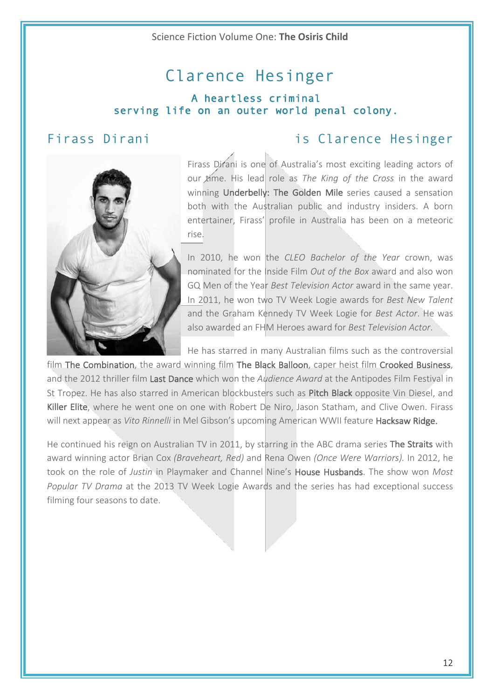# Clarence Hesinger

### A heartless criminal serving life on an outer world penal colony.

## Firass Dirani **is Clarence Hesinger**



Firass Dirani is one of Australia's most exciting leading actors of our *time*. His lead role as *The King of the Cross* in the award winning Underbelly: The Golden Mile series caused a sensation both with the Australian public and industry insiders. A born entertainer. Firass' profile in Australia has been on a meteoric rise. 

In 2010, he won the *CLEO Bachelor of the Year* crown, was nominated for the Inside Film Out of the Box award and also won GQ Men of the Year *Best Television Actor* award in the same year. In 2011, he won two TV Week Logie awards for *Best New Talent* and the Graham Kennedy TV Week Logie for *Best Actor*. He was also awarded an FHM Heroes award for *Best Television Actor*.

He has starred in many Australian films such as the controversial

film The Combination, the award winning film The Black Balloon, caper heist film Crooked Business, and the 2012 thriller film Last Dance which won the *Audience Award* at the Antipodes Film Festival in St Tropez. He has also starred in American blockbusters such as Pitch Black opposite Vin Diesel, and Killer Elite, where he went one on one with Robert De Niro, Jason Statham, and Clive Owen. Firass will next appear as *Vito Rinnelli* in Mel Gibson's upcoming American WWII feature **Hacksaw Ridge.** 

He continued his reign on Australian TV in 2011, by starring in the ABC drama series The Straits with award winning actor Brian Cox *(Braveheart, Red)* and Rena Owen *(Once Were Warriors)*. In 2012, he took on the role of *Justin* in Playmaker and Channel Nine's **House Husbands**. The show won *Most Popular TV Drama* at the 2013 TV Week Logie Awards and the series has had exceptional success filming four seasons to date.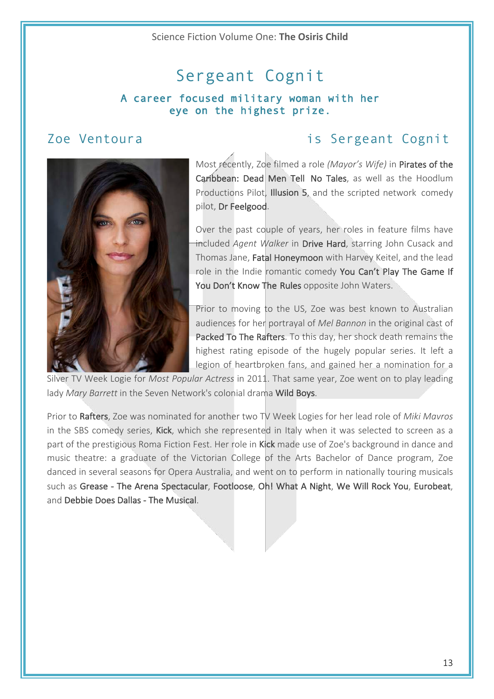# Sergeant Cognit

### A career focused military woman with her eye on the highest prize.

## Zoe Ventoura is Sergeant Cognit



Most recently, Zoe filmed a role (Mayor's Wife) in Pirates of the Caribbean: Dead Men Tell No Tales, as well as the Hoodlum Productions Pilot, Illusion 5, and the scripted network comedy pilot, Dr Feelgood.

Over the past couple of years, her roles in feature films have included *Agent Walker* in Drive Hard, starring John Cusack and Thomas Jane, Fatal Honeymoon with Harvey Keitel, and the lead role in the Indie romantic comedy You Can't Play The Game If You Don't Know The Rules opposite John Waters.

Prior to moving to the US, Zoe was best known to Australian audiences for her portrayal of *Mel Bannon* in the original cast of Packed To The Rafters. To this day, her shock death remains the highest rating episode of the hugely popular series. It left a legion of heartbroken fans, and gained her a nomination for a

Silver TV Week Logie for *Most Popular Actress* in 2011. That same year, Zoe went on to play leading lady *Mary Barrett* in the Seven Network's colonial drama Wild Boys.

Prior to Rafters, Zoe was nominated for another two TV Week Logies for her lead role of *Miki Mavros* in the SBS comedy series, Kick, which she represented in Italy when it was selected to screen as a part of the prestigious Roma Fiction Fest. Her role in Kick made use of Zoe's background in dance and music theatre: a graduate of the Victorian College of the Arts Bachelor of Dance program, Zoe danced in several seasons for Opera Australia, and went on to perform in nationally touring musicals such as Grease - The Arena Spectacular, Footloose, Oh! What A Night, We Will Rock You, Eurobeat, and Debbie Does Dallas - The Musical.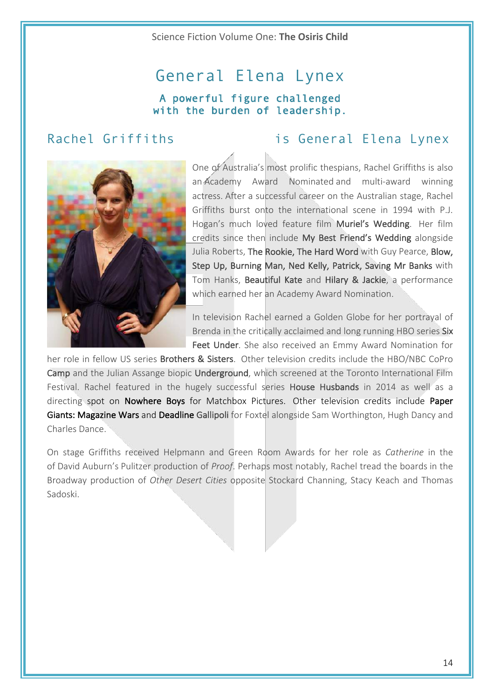# General Elena Lynex A powerful figure challenged with the burden of leadership.

## Rachel Griffiths **is General Elena Lynex**



One of Australia's most prolific thespians, Rachel Griffiths is also an Academy Award Nominated and multi-award winning actress. After a successful career on the Australian stage, Rachel Griffiths burst onto the international scene in 1994 with P.J. Hogan's much loved feature film Muriel's Wedding. Her film credits since then include My Best Friend's Wedding alongside Julia Roberts, The Rookie, The Hard Word with Guy Pearce, Blow, Step Up, Burning Man, Ned Kelly, Patrick, Saving Mr Banks with Tom Hanks, Beautiful Kate and Hilary & Jackie, a performance which earned her an Academy Award Nomination.

In television Rachel earned a Golden Globe for her portrayal of Brenda in the critically acclaimed and long running HBO series Six Feet Under. She also received an Emmy Award Nomination for

her role in fellow US series **Brothers & Sisters**. Other television credits include the HBO/NBC CoPro Camp and the Julian Assange biopic Underground, which screened at the Toronto International Film Festival. Rachel featured in the hugely successful series House Husbands in 2014 as well as a directing spot on Nowhere Boys for Matchbox Pictures. Other television credits include Paper Giants: Magazine Wars and Deadline Gallipoli for Foxtel alongside Sam Worthington, Hugh Dancy and Charles Dance.

On stage Griffiths received Helpmann and Green Room Awards for her role as *Catherine* in the of David Auburn's Pulitzer production of *Proof*. Perhaps most notably, Rachel tread the boards in the Broadway production of *Other Desert Cities* opposite Stockard Channing, Stacy Keach and Thomas Sadoski.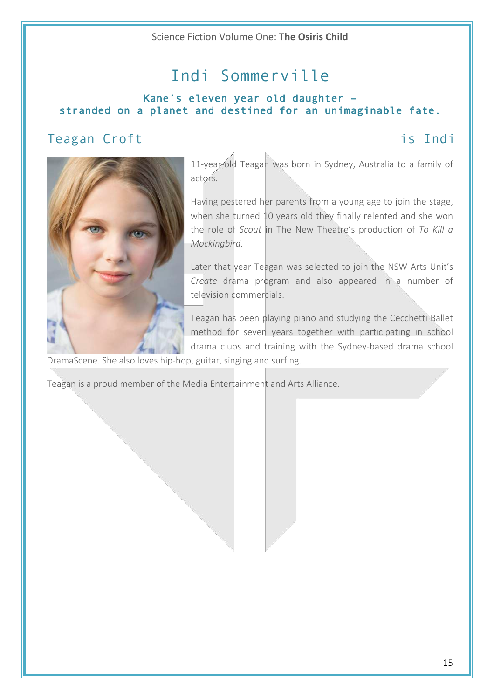# Indi Sommerville

### Kane's eleven year old daughter – stranded on a planet and destined for an unimaginable fate.

## Teagan Croft is Indi



11-year-old Teagan was born in Sydney, Australia to a family of actors.

Having pestered her parents from a young age to join the stage, when she turned 10 years old they finally relented and she won the role of *Scout* in The New Theatre's production of To Kill a *Mockingbird*. 

Later that year Teagan was selected to join the NSW Arts Unit's *Create* drama program and also appeared in a number of television commercials.

Teagan has been playing piano and studying the Cecchetti Ballet method for seven years together with participating in school drama clubs and training with the Sydney-based drama school

DramaScene. She also loves hip-hop, guitar, singing and surfing.

Teagan is a proud member of the Media Entertainment and Arts Alliance.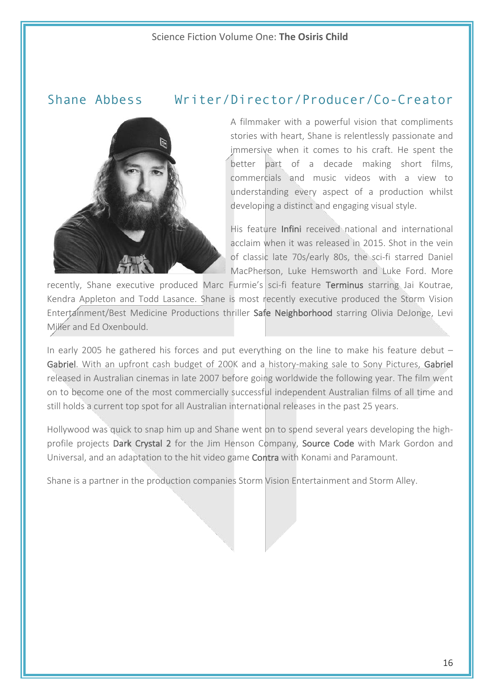### Shane Abbess Writer/Director/Producer/Co-Creator



A filmmaker with a powerful vision that compliments stories with heart, Shane is relentlessly passionate and immersive when it comes to his craft. He spent the better part of a decade making short films, commercials and music videos with a view to understanding every aspect of a production whilst developing a distinct and engaging visual style.

His feature **Infini** received national and international acclaim when it was released in 2015. Shot in the vein of classic late 70s/early 80s, the sci-fi starred Daniel MacPherson, Luke Hemsworth and Luke Ford. More

recently, Shane executive produced Marc Furmie's sci-fi feature Terminus starring Jai Koutrae, Kendra Appleton and Todd Lasance. Shane is most recently executive produced the Storm Vision Entertainment/Best Medicine Productions thriller Safe Neighborhood starring Olivia DeJonge, Levi Miller and Ed Oxenbould.

In early 2005 he gathered his forces and put everything on the line to make his feature debut  $-$ Gabriel. With an upfront cash budget of 200K and a history-making sale to Sony Pictures, Gabriel released in Australian cinemas in late 2007 before going worldwide the following year. The film went on to become one of the most commercially successful independent Australian films of all time and still holds a current top spot for all Australian international releases in the past 25 years.

Hollywood was quick to snap him up and Shane went on to spend several years developing the highprofile projects Dark Crystal 2 for the Jim Henson Company, Source Code with Mark Gordon and Universal, and an adaptation to the hit video game Contra with Konami and Paramount.

Shane is a partner in the production companies Storm Vision Entertainment and Storm Alley.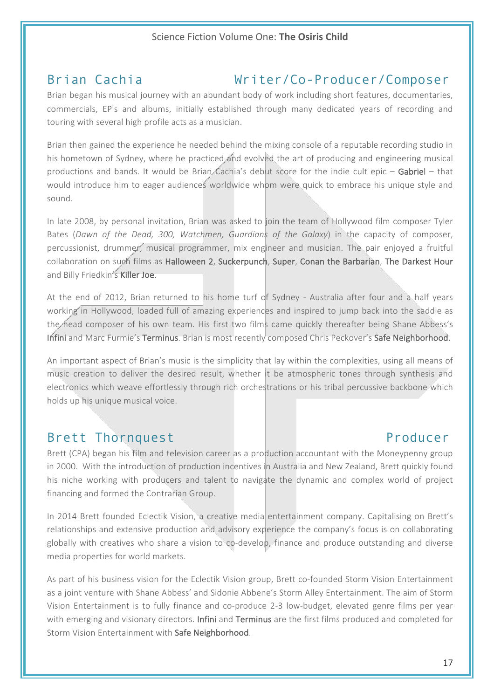# Brian Cachia Writer/Co-Producer/Composer

Brian began his musical journey with an abundant body of work including short features, documentaries, commercials, EP's and albums, initially established through many dedicated years of recording and touring with several high profile acts as a musician.

Brian then gained the experience he needed behind the mixing console of a reputable recording studio in his hometown of Sydney, where he practiced and evolved the art of producing and engineering musical productions and bands. It would be Brian Cachia's debut score for the indie cult epic – Gabriel – that would introduce him to eager audiences worldwide whom were quick to embrace his unique style and sound. 

In late 2008, by personal invitation, Brian was asked to join the team of Hollywood film composer Tyler Bates (Dawn of the Dead, 300, Watchmen, Guardians of the Galaxy) in the capacity of composer, percussionist, drummer, musical programmer, mix engineer and musician. The pair enjoyed a fruitful collaboration on such films as Halloween 2, Suckerpunch, Super, Conan the Barbarian, The Darkest Hour and Billy Friedkin's Killer Joe.

At the end of 2012, Brian returned to his home turf of Sydney - Australia after four and a half years working in Hollywood, loaded full of amazing experiences and inspired to jump back into the saddle as the head composer of his own team. His first two films came quickly thereafter being Shane Abbess's Infini and Marc Furmie's Terminus. Brian is most recently composed Chris Peckover's Safe Neighborhood.

An important aspect of Brian's music is the simplicity that lay within the complexities, using all means of music creation to deliver the desired result, whether it be atmospheric tones through synthesis and electronics which weave effortlessly through rich orchestrations or his tribal percussive backbone which holds up his unique musical voice.

## Brett Thornquest **Producer**

Brett (CPA) began his film and television career as a production accountant with the Moneypenny group in 2000. With the introduction of production incentives in Australia and New Zealand, Brett quickly found his niche working with producers and talent to navigate the dynamic and complex world of project financing and formed the Contrarian Group.

In 2014 Brett founded Eclectik Vision, a creative media entertainment company. Capitalising on Brett's relationships and extensive production and advisory experience the company's focus is on collaborating globally with creatives who share a vision to co-develop, finance and produce outstanding and diverse media properties for world markets.

As part of his business vision for the Eclectik Vision group, Brett co-founded Storm Vision Entertainment as a joint venture with Shane Abbess' and Sidonie Abbene's Storm Alley Entertainment. The aim of Storm Vision Entertainment is to fully finance and co-produce 2-3 low-budget, elevated genre films per year with emerging and visionary directors. Infini and Terminus are the first films produced and completed for Storm Vision Entertainment with Safe Neighborhood.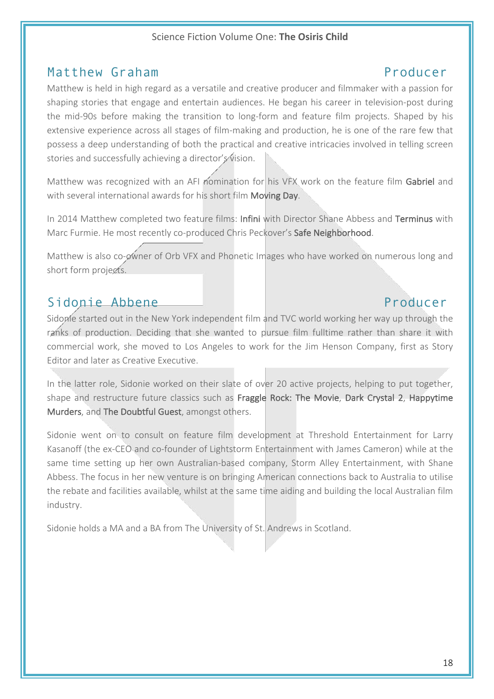### Matthew Graham **Producer**

### Matthew is held in high regard as a versatile and creative producer and filmmaker with a passion for shaping stories that engage and entertain audiences. He began his career in television-post during the mid-90s before making the transition to long-form and feature film projects. Shaped by his extensive experience across all stages of film-making and production, he is one of the rare few that possess a deep understanding of both the practical and creative intricacies involved in telling screen stories and successfully achieving a director's vision.

Matthew was recognized with an AFI nomination for his VFX work on the feature film Gabriel and with several international awards for his short film Moving Day.

In 2014 Matthew completed two feature films: Infini with Director Shane Abbess and Terminus with Marc Furmie. He most recently co-produced Chris Peckover's Safe Neighborhood.

Matthew is also co-owner of Orb VFX and Phonetic Images who have worked on numerous long and short form projects.

## Sidonie Abbene Producer

Sidome started out in the New York independent film and TVC world working her way up through the ranks of production. Deciding that she wanted to pursue film fulltime rather than share it with commercial work, she moved to Los Angeles to work for the Jim Henson Company, first as Story Editor and later as Creative Executive.

In the latter role, Sidonie worked on their slate of over 20 active projects, helping to put together, shape and restructure future classics such as Fraggle Rock: The Movie, Dark Crystal 2, Happytime Murders, and The Doubtful Guest, amongst others.

Sidonie went on to consult on feature film development at Threshold Entertainment for Larry Kasanoff (the ex-CEO and co-founder of Lightstorm Entertainment with James Cameron) while at the same time setting up her own Australian-based company, Storm Alley Entertainment, with Shane Abbess. The focus in her new venture is on bringing American connections back to Australia to utilise the rebate and facilities available, whilst at the same time aiding and building the local Australian film industry.

Sidonie holds a MA and a BA from The University of St. Andrews in Scotland.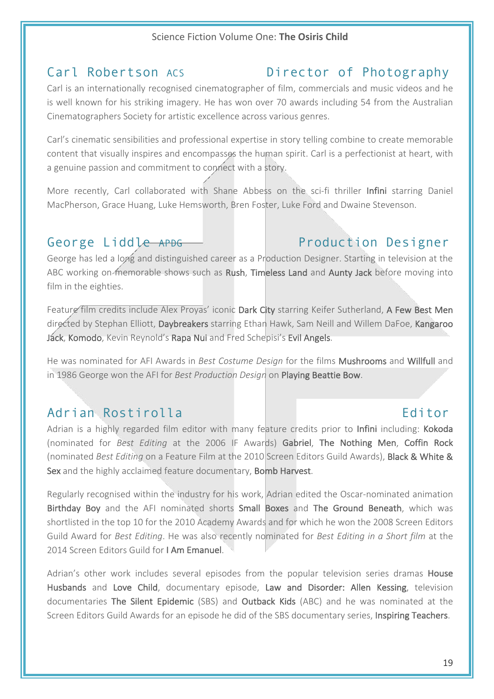## Carl Robertson Acs **Director of Photography**

Carl is an internationally recognised cinematographer of film, commercials and music videos and he is well known for his striking imagery. He has won over 70 awards including 54 from the Australian Cinematographers Society for artistic excellence across various genres.

Carl's cinematic sensibilities and professional expertise in story telling combine to create memorable content that visually inspires and encompasses the human spirit. Carl is a perfectionist at heart, with a genuine passion and commitment to connect with a story.

More recently, Carl collaborated with Shane Abbess on the sci-fi thriller Infini starring Daniel MacPherson, Grace Huang, Luke Hemsworth, Bren Foster, Luke Ford and Dwaine Stevenson.

# George Liddle APDG **Production Designer**

George has led a long and distinguished career as a Production Designer. Starting in television at the ABC working on memorable shows such as Rush, Timeless Land and Aunty Jack before moving into film in the eighties.

Feature film credits include Alex Proyas' iconic Dark City starring Keifer Sutherland, A Few Best Men directed by Stephan Elliott, Daybreakers starring Ethan Hawk, Sam Neill and Willem DaFoe, Kangaroo Jack, Komodo, Kevin Reynold's Rapa Nui and Fred Schepisi's Evil Angels.

He was nominated for AFI Awards in *Best Costume Design* for the films Mushrooms and Willfull and in 1986 George won the AFI for *Best Production Design* on Playing Beattie Bow.

## Adrian Rostirolla **Editor** Editor

Adrian is a highly regarded film editor with many feature credits prior to Infini including: Kokoda (nominated for *Best Editing* at the 2006 IF Awards) Gabriel, The Nothing Men, Coffin Rock (nominated *Best Editing* on a Feature Film at the 2010 Screen Editors Guild Awards), **Black & White &** Sex and the highly acclaimed feature documentary, Bomb Harvest.

Regularly recognised within the industry for his work, Adrian edited the Oscar-nominated animation Birthday Boy and the AFI nominated shorts Small Boxes and The Ground Beneath, which was shortlisted in the top 10 for the 2010 Academy Awards and for which he won the 2008 Screen Editors Guild Award for *Best Editing*. He was also recently nominated for *Best Editing in a Short film* at the 2014 Screen Editors Guild for I Am Emanuel.

Adrian's other work includes several episodes from the popular television series dramas House Husbands and Love Child, documentary episode, Law and Disorder: Allen Kessing, television documentaries The Silent Epidemic (SBS) and Outback Kids (ABC) and he was nominated at the Screen Editors Guild Awards for an episode he did of the SBS documentary series, Inspiring Teachers.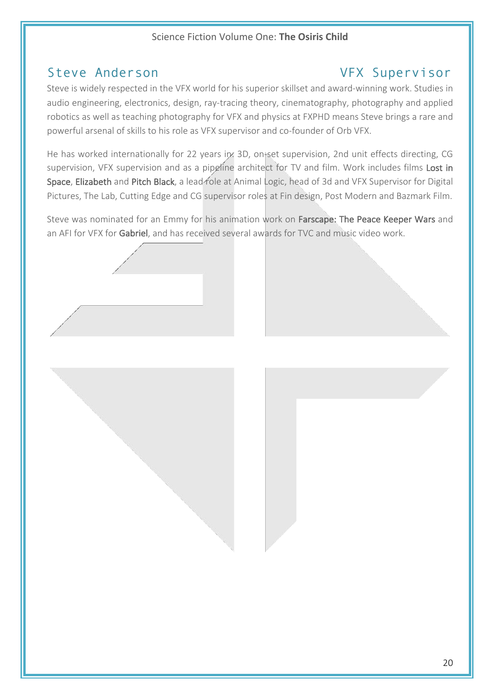## Steve Anderson VFX Supervisor

Steve is widely respected in the VFX world for his superior skillset and award-winning work. Studies in audio engineering, electronics, design, ray-tracing theory, cinematography, photography and applied robotics as well as teaching photography for VFX and physics at FXPHD means Steve brings a rare and powerful arsenal of skills to his role as VFX supervisor and co-founder of Orb VFX.

He has worked internationally for 22 years in: 3D, on+set supervision, 2nd unit effects directing, CG supervision, VFX supervision and as a pipeline architect for TV and film. Work includes films Lost in Space, Elizabeth and Pitch Black, a lead role at Animal Logic, head of 3d and VFX Supervisor for Digital Pictures, The Lab, Cutting Edge and CG supervisor roles at Fin design, Post Modern and Bazmark Film.

Steve was nominated for an Emmy for his animation work on Farscape: The Peace Keeper Wars and an AFI for VFX for Gabriel, and has received several awards for TVC and music video work.